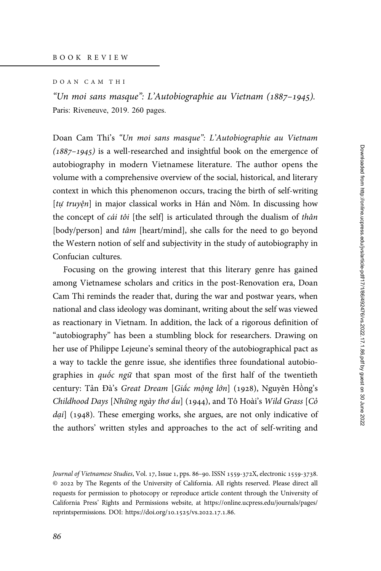## DOAN CAM THI

"Un moi sans masque": L'Autobiographie au Vietnam (1887–1945). Paris: Riveneuve, 2019. 260 pages.

Doan Cam Thi's "Un moi sans masque": L'Autobiographie au Vietnam  $(1887-1945)$  is a well-researched and insightful book on the emergence of autobiography in modern Vietnamese literature. The author opens the volume with a comprehensive overview of the social, historical, and literary context in which this phenomenon occurs, tracing the birth of self-writing [tự truyện] in major classical works in Hán and Nôm. In discussing how the concept of *cái tôi* [the self] is articulated through the dualism of thân [body/person] and tâm [heart/mind], she calls for the need to go beyond the Western notion of self and subjectivity in the study of autobiography in Confucian cultures.

Focusing on the growing interest that this literary genre has gained among Vietnamese scholars and critics in the post-Renovation era, Doan Cam Thi reminds the reader that, during the war and postwar years, when national and class ideology was dominant, writing about the self was viewed as reactionary in Vietnam. In addition, the lack of a rigorous definition of "autobiography" has been a stumbling block for researchers. Drawing on her use of Philippe Lejeune's seminal theory of the autobiographical pact as a way to tackle the genre issue, she identifies three foundational autobiographies in quốc ngữ that span most of the first half of the twentieth century: Tản Đà's Great Dream [Giấc mộng lớn] (1928), Nguyên Hồng's Childhood Days [Những ngày thơ ấu] (1944), and Tô Hoài's Wild Grass [Cỏ dại] (1948). These emerging works, she argues, are not only indicative of the authors' written styles and approaches to the act of self-writing and

Journal of Vietnamese Studies, Vol. 17, Issue 1, pps. 86-90. ISSN 1559-372X, electronic 1559-3738. © by The Regents of the University of California. All rights reserved. Please direct all requests for permission to photocopy or reproduce article content through the University of California Press' Rights and Permissions website, at [https://online.ucpress.edu/journals/pages/](https://online.ucpress.edu/journals/pages/reprintspermissions) [reprintspermissions.](https://online.ucpress.edu/journals/pages/reprintspermissions) [DOI: https://doi.org/](https://doi.org/10.1525/vs.2022.17.1.86)10.1525/vs.2022.17.1.86.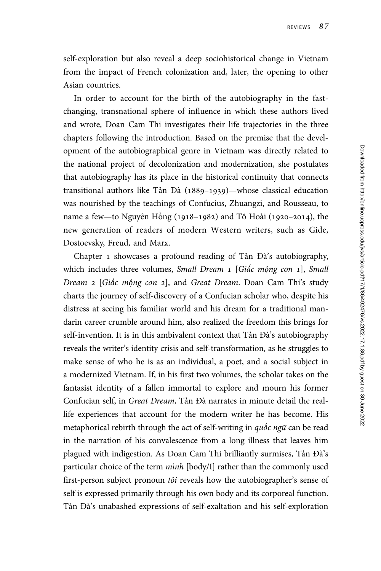self-exploration but also reveal a deep sociohistorical change in Vietnam from the impact of French colonization and, later, the opening to other Asian countries.

In order to account for the birth of the autobiography in the fastchanging, transnational sphere of influence in which these authors lived and wrote, Doan Cam Thi investigates their life trajectories in the three chapters following the introduction. Based on the premise that the development of the autobiographical genre in Vietnam was directly related to the national project of decolonization and modernization, she postulates that autobiography has its place in the historical continuity that connects transitional authors like Tản Đà  $(1889-1939)$ —whose classical education was nourished by the teachings of Confucius, Zhuangzi, and Rousseau, to name a few—to Nguyên Hồng (1918–1982) and Tô Hoài (1920–2014), the new generation of readers of modern Western writers, such as Gide, Dostoevsky, Freud, and Marx.

Chapter 1 showcases a profound reading of Tản Đà's autobiography, which includes three volumes, Small Dream  $1$  [Giấc mộng con  $1$ ], Small Dream 2 [Giấc mộng con 2], and Great Dream. Doan Cam Thi's study charts the journey of self-discovery of a Confucian scholar who, despite his distress at seeing his familiar world and his dream for a traditional mandarin career crumble around him, also realized the freedom this brings for self-invention. It is in this ambivalent context that Tản Đà's autobiography reveals the writer's identity crisis and self-transformation, as he struggles to make sense of who he is as an individual, a poet, and a social subject in a modernized Vietnam. If, in his first two volumes, the scholar takes on the fantasist identity of a fallen immortal to explore and mourn his former Confucian self, in Great Dream, Tản Đà narrates in minute detail the reallife experiences that account for the modern writer he has become. His metaphorical rebirth through the act of self-writing in quốc ngữ can be read in the narration of his convalescence from a long illness that leaves him plagued with indigestion. As Doan Cam Thi brilliantly surmises, Tản Đà's particular choice of the term  $minh$  [body/I] rather than the commonly used first-person subject pronoun *tôi* reveals how the autobiographer's sense of self is expressed primarily through his own body and its corporeal function. Tản Đà's unabashed expressions of self-exaltation and his self-exploration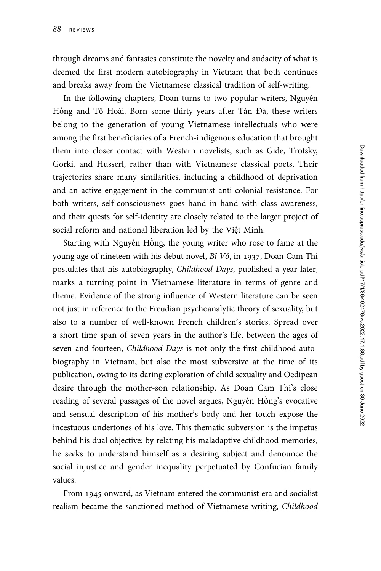through dreams and fantasies constitute the novelty and audacity of what is deemed the first modern autobiography in Vietnam that both continues and breaks away from the Vietnamese classical tradition of self-writing.

In the following chapters, Doan turns to two popular writers, Nguyên Hồng and Tô Hoài. Born some thirty years after Tản Đà, these writers belong to the generation of young Vietnamese intellectuals who were among the first beneficiaries of a French-indigenous education that brought them into closer contact with Western novelists, such as Gide, Trotsky, Gorki, and Husserl, rather than with Vietnamese classical poets. Their trajectories share many similarities, including a childhood of deprivation and an active engagement in the communist anti-colonial resistance. For both writers, self-consciousness goes hand in hand with class awareness, and their quests for self-identity are closely related to the larger project of social reform and national liberation led by the Việt Minh.

Starting with Nguyên Hồng, the young writer who rose to fame at the young age of nineteen with his debut novel,  $Bi\ V\delta$ , in 1937, Doan Cam Thi postulates that his autobiography, Childhood Days, published a year later, marks a turning point in Vietnamese literature in terms of genre and theme. Evidence of the strong influence of Western literature can be seen not just in reference to the Freudian psychoanalytic theory of sexuality, but also to a number of well-known French children's stories. Spread over a short time span of seven years in the author's life, between the ages of seven and fourteen, Childhood Days is not only the first childhood autobiography in Vietnam, but also the most subversive at the time of its publication, owing to its daring exploration of child sexuality and Oedipean desire through the mother-son relationship. As Doan Cam Thi's close reading of several passages of the novel argues, Nguyên Hồng's evocative and sensual description of his mother's body and her touch expose the incestuous undertones of his love. This thematic subversion is the impetus behind his dual objective: by relating his maladaptive childhood memories, he seeks to understand himself as a desiring subject and denounce the social injustice and gender inequality perpetuated by Confucian family values.

From 1945 onward, as Vietnam entered the communist era and socialist realism became the sanctioned method of Vietnamese writing, Childhood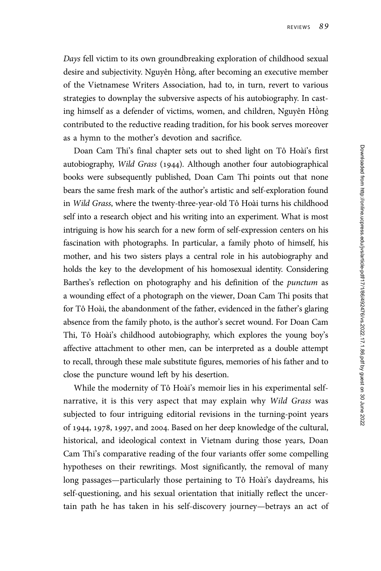Days fell victim to its own groundbreaking exploration of childhood sexual desire and subjectivity. Nguyên Hồng, after becoming an executive member of the Vietnamese Writers Association, had to, in turn, revert to various strategies to downplay the subversive aspects of his autobiography. In casting himself as a defender of victims, women, and children, Nguyên Hồng contributed to the reductive reading tradition, for his book serves moreover as a hymn to the mother's devotion and sacrifice.

Doan Cam Thi's final chapter sets out to shed light on Tô Hoài's first autobiography, Wild Grass (1944). Although another four autobiographical books were subsequently published, Doan Cam Thi points out that none bears the same fresh mark of the author's artistic and self-exploration found in Wild Grass, where the twenty-three-year-old Tô Hoài turns his childhood self into a research object and his writing into an experiment. What is most intriguing is how his search for a new form of self-expression centers on his fascination with photographs. In particular, a family photo of himself, his mother, and his two sisters plays a central role in his autobiography and holds the key to the development of his homosexual identity. Considering Barthes's reflection on photography and his definition of the punctum as a wounding effect of a photograph on the viewer, Doan Cam Thi posits that for Tô Hoài, the abandonment of the father, evidenced in the father's glaring absence from the family photo, is the author's secret wound. For Doan Cam Thi, Tô Hoài's childhood autobiography, which explores the young boy's affective attachment to other men, can be interpreted as a double attempt to recall, through these male substitute figures, memories of his father and to close the puncture wound left by his desertion.

While the modernity of Tô Hoài's memoir lies in his experimental selfnarrative, it is this very aspect that may explain why Wild Grass was subjected to four intriguing editorial revisions in the turning-point years of 1944, 1978, 1997, and 2004. Based on her deep knowledge of the cultural, historical, and ideological context in Vietnam during those years, Doan Cam Thi's comparative reading of the four variants offer some compelling hypotheses on their rewritings. Most significantly, the removal of many long passages—particularly those pertaining to Tô Hoài's daydreams, his self-questioning, and his sexual orientation that initially reflect the uncertain path he has taken in his self-discovery journey—betrays an act of